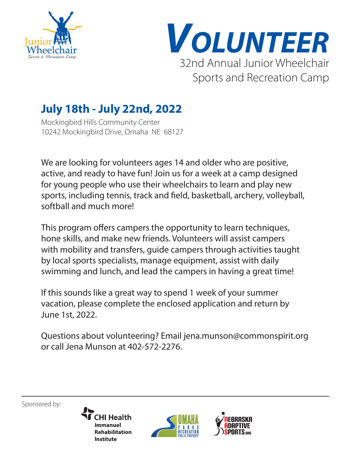



# **July 18th - July 22nd, 2022**

Mockingbird Hills Community Center 10242 Mockingbird Drive, Omaha NE 68127

We are looking for volunteers ages 14 and older who are positive, active, and ready to have fun! Join us for a week at a camp designed for young people who use their wheelchairs to learn and play new sports, including tennis, track and field, basketball, archery, volleyball, softball and much more!

This program offers campers the opportunity to learn techniques, hone skills, and make new friends. Volunteers will assist campers with mobility and transfers, guide campers through activities taught by local sports specialists, manage equipment, assist with daily swimming and lunch, and lead the campers in having a great time!

If this sounds like a great way to spend 1 week of your summer vacation, please complete the enclosed application and return by June 1st, 2022.

Questions about volunteering? Email jena.munson@commonspirit.org or call Jena Munson at 402-572-2276.

Sponsored by:

**CHI Health Immanuel Rehabilitation Institute** 



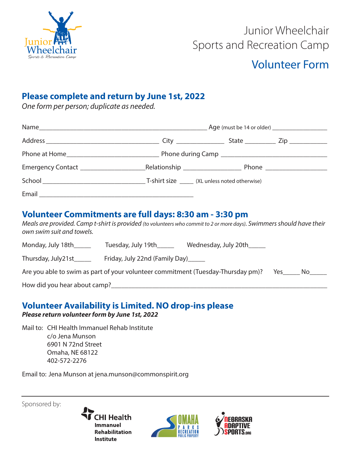

# Junior Wheelchair Sports and Recreation Camp

### Volunteer Form

#### **Please complete and return by June 1st, 2022**

*One form per person; duplicate as needed.*

|  |  | Phone ______________________ |  |
|--|--|------------------------------|--|
|  |  |                              |  |
|  |  |                              |  |

#### **Volunteer Commitments are full days: 8:30 am - 3:30 pm**

*Meals are provided. Camp t-shirt is provided (to volunteers who commit to 2 or more days). Swimmers should have their own swim suit and towels.*

| Monday, July 18th   | Tuesday, July 19th             | Wednesday, July 20th |
|---------------------|--------------------------------|----------------------|
| Thursday, July21st_ | Friday, July 22nd (Family Day) |                      |

| Are you able to swim as part of your volunteer commitment (Tuesday-Thursday pm)? Yes_____ No_____ |  |  |  |
|---------------------------------------------------------------------------------------------------|--|--|--|
|---------------------------------------------------------------------------------------------------|--|--|--|

How did you hear about camp?

#### **Volunteer Availability is Limited. NO drop-ins please**

*Please return volunteer form by June 1st, 2022*

Mail to: CHI Health Immanuel Rehab Institute c/o Jena Munson 6901 N 72nd Street Omaha, NE 68122 402-572-2276

Email to: Jena Munson at jena.munson@commonspirit.org

Sponsored by: